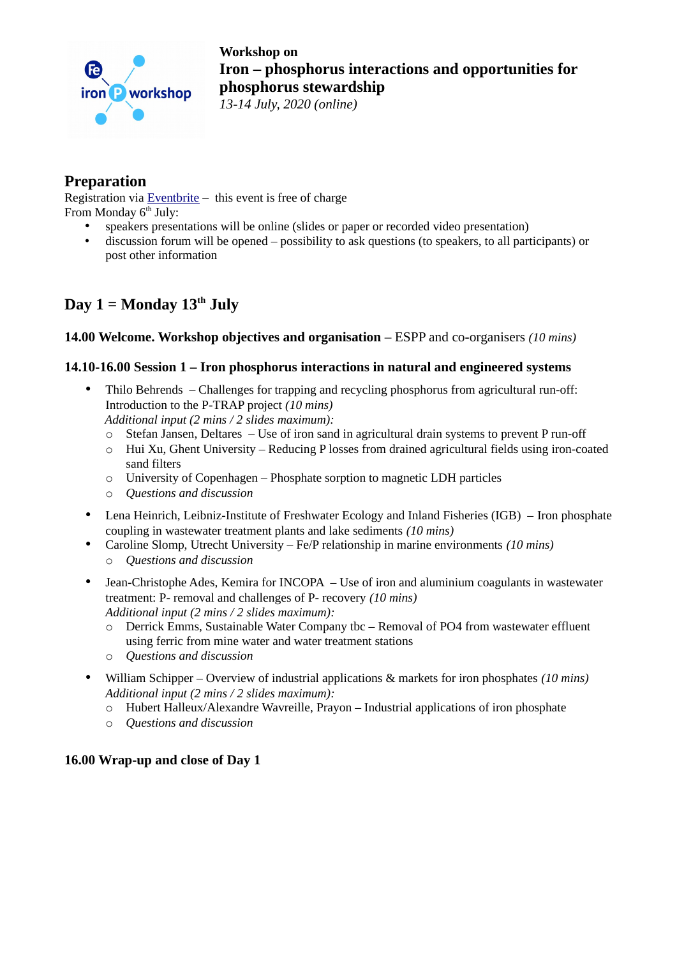

**Workshop on Iron – phosphorus interactions and opportunities for phosphorus stewardship** *13-14 July, 2020 (online)*

# **Preparation**

Registration via [Eventbrite](https://iron-phosphate.eventbrite.co.uk/) – this event is free of charge From Monday 6<sup>th</sup> July:

- speakers presentations will be online (slides or paper or recorded video presentation)
- discussion forum will be opened possibility to ask questions (to speakers, to all participants) or post other information

# **Day 1 = Monday 13<sup>th</sup> July**

# **14.00 Welcome. Workshop objectives and organisation** – ESPP and co-organisers *(10 mins)*

# **14.10-16.00 Session 1 – Iron phosphorus interactions in natural and engineered systems**

- Thilo Behrends Challenges for trapping and recycling phosphorus from agricultural run-off: Introduction to the P-TRAP project *(10 mins) Additional input (2 mins / 2 slides maximum):*
	- o Stefan Jansen, Deltares Use of iron sand in agricultural drain systems to prevent P run-off
	- $\circ$  Hui Xu, Ghent University Reducing P losses from drained agricultural fields using iron-coated sand filters
	- o University of Copenhagen Phosphate sorption to magnetic LDH particles
	- o *Questions and discussion*
- Lena Heinrich, Leibniz-Institute of Freshwater Ecology and Inland Fisheries (IGB) Iron phosphate coupling in wastewater treatment plants and lake sediments *(10 mins)*
- Caroline Slomp, Utrecht University Fe/P relationship in marine environments *(10 mins)* o *Questions and discussion*
- Jean-Christophe Ades, Kemira for INCOPA Use of iron and aluminium coagulants in wastewater treatment: P- removal and challenges of P- recovery *(10 mins) Additional input (2 mins / 2 slides maximum):*
	- o Derrick Emms, Sustainable Water Company tbc Removal of PO4 from wastewater effluent using ferric from mine water and water treatment stations
	- o *Questions and discussion*
- William Schipper Overview of industrial applications & markets for iron phosphates *(10 mins) Additional input (2 mins / 2 slides maximum):*
	- o Hubert Halleux/Alexandre Wavreille, Prayon Industrial applications of iron phosphate
	- o *Questions and discussion*

# **16.00 Wrap-up and close of Day 1**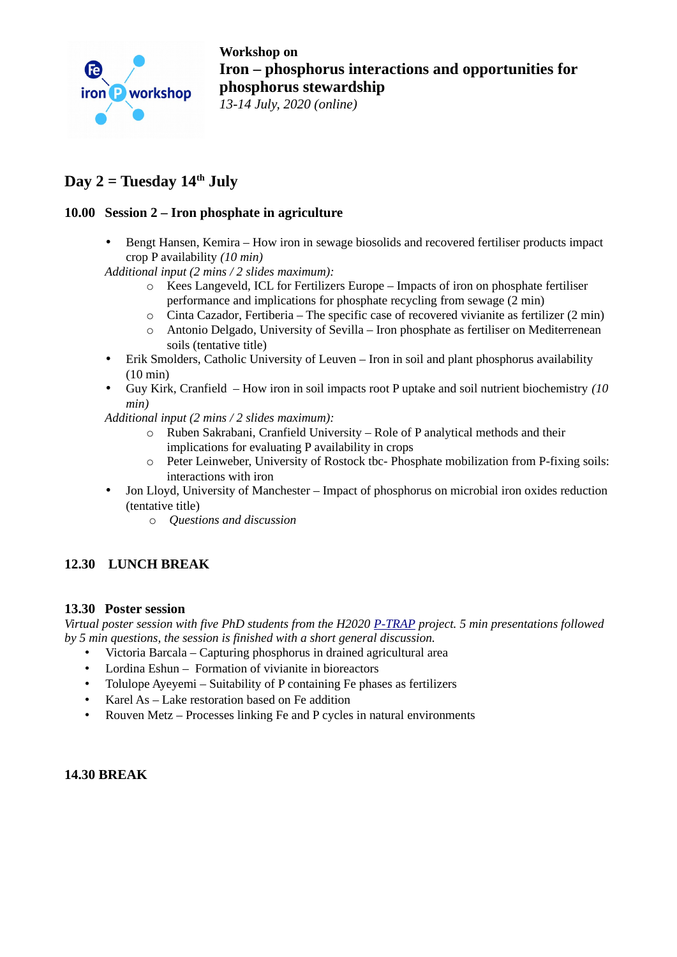

**Workshop on Iron – phosphorus interactions and opportunities for phosphorus stewardship** *13-14 July, 2020 (online)*

# **Day 2 = Tuesday 14th July**

# **10.00 Session 2 – Iron phosphate in agriculture**

- Bengt Hansen, Kemira How iron in sewage biosolids and recovered fertiliser products impact crop P availability *(10 min)*
- *Additional input (2 mins / 2 slides maximum):*
	- o Kees Langeveld, ICL for Fertilizers Europe Impacts of iron on phosphate fertiliser performance and implications for phosphate recycling from sewage (2 min)
	- $\circ$  Cinta Cazador, Fertiberia The specific case of recovered vivianite as fertilizer (2 min)
	- o Antonio Delgado, University of Sevilla Iron phosphate as fertiliser on Mediterrenean soils (tentative title)
- Erik Smolders, Catholic University of Leuven Iron in soil and plant phosphorus availability (10 min)
- Guy Kirk, Cranfield How iron in soil impacts root P uptake and soil nutrient biochemistry *(10 min)*
- *Additional input (2 mins / 2 slides maximum):*
	- o Ruben Sakrabani, Cranfield University Role of P analytical methods and their implications for evaluating P availability in crops
	- o Peter Leinweber, University of Rostock tbc- Phosphate mobilization from P-fixing soils: interactions with iron
- Jon Lloyd, University of Manchester Impact of phosphorus on microbial iron oxides reduction (tentative title)
	- o *Questions and discussion*

# **12.30 LUNCH BREAK**

#### **13.30 Poster session**

*Virtual poster session with five PhD students from the H2020 [P-TRAP](https://h2020-p-trap.eu/) project. 5 min presentations followed by 5 min questions, the session is finished with a short general discussion.* 

- Victoria Barcala Capturing phosphorus in drained agricultural area
- Lordina Eshun Formation of vivianite in bioreactors
- Tolulope Ayeyemi Suitability of P containing Fe phases as fertilizers
- Karel As Lake restoration based on Fe addition
- Rouven Metz Processes linking Fe and P cycles in natural environments

# **14.30 BREAK**